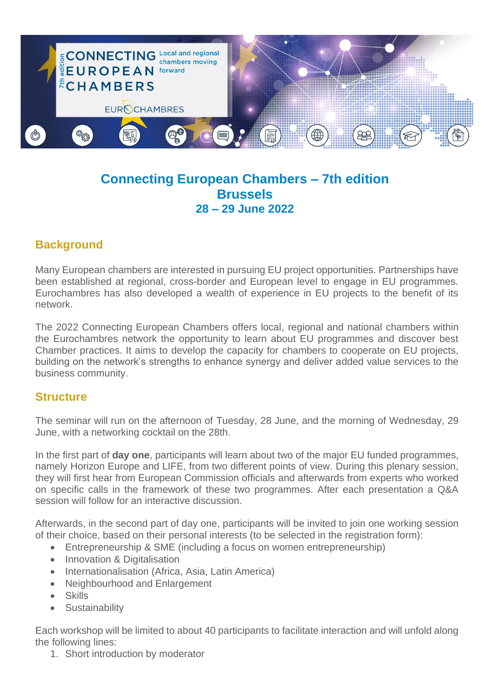

## **Connecting European Chambers – 7th edition Brussels 28 – 29 June 2022**

## **Background**

Many European chambers are interested in pursuing EU project opportunities. Partnerships have been established at regional, cross-border and European level to engage in EU programmes. Eurochambres has also developed a wealth of experience in EU projects to the benefit of its network.

The 2022 Connecting European Chambers offers local, regional and national chambers within the Eurochambres network the opportunity to learn about EU programmes and discover best Chamber practices. It aims to develop the capacity for chambers to cooperate on EU projects, building on the network's strengths to enhance synergy and deliver added value services to the business community.

### **Structure**

The seminar will run on the afternoon of Tuesday, 28 June, and the morning of Wednesday, 29 June, with a networking cocktail on the 28th.

In the first part of **day one**, participants will learn about two of the major EU funded programmes, namely Horizon Europe and LIFE, from two different points of view. During this plenary session, they will first hear from European Commission officials and afterwards from experts who worked on specific calls in the framework of these two programmes. After each presentation a Q&A session will follow for an interactive discussion.

Afterwards, in the second part of day one, participants will be invited to join one working session of their choice, based on their personal interests (to be selected in the registration form):

- Entrepreneurship & SME (including a focus on women entrepreneurship)
- Innovation & Digitalisation
- Internationalisation (Africa, Asia, Latin America)
- Neighbourhood and Enlargement
- Skills
- Sustainability

Each workshop will be limited to about 40 participants to facilitate interaction and will unfold along the following lines:

1. Short introduction by moderator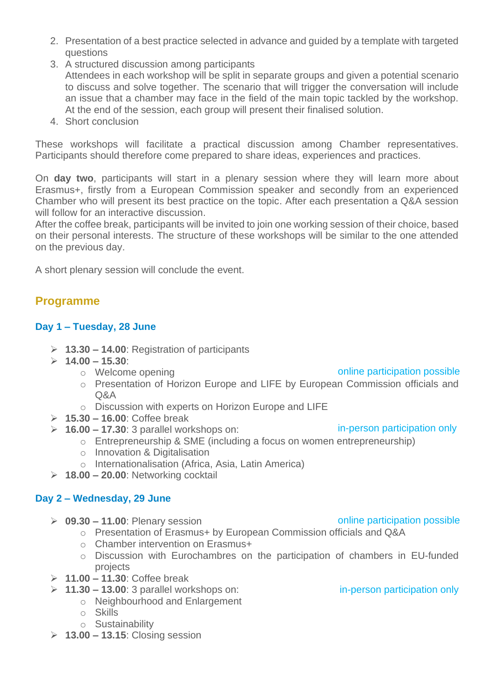- 2. Presentation of a best practice selected in advance and guided by a template with targeted questions
- 3. A structured discussion among participants
- Attendees in each workshop will be split in separate groups and given a potential scenario to discuss and solve together. The scenario that will trigger the conversation will include an issue that a chamber may face in the field of the main topic tackled by the workshop. At the end of the session, each group will present their finalised solution.
- 4. Short conclusion

These workshops will facilitate a practical discussion among Chamber representatives. Participants should therefore come prepared to share ideas, experiences and practices.

On **day two**, participants will start in a plenary session where they will learn more about Erasmus+, firstly from a European Commission speaker and secondly from an experienced Chamber who will present its best practice on the topic. After each presentation a Q&A session will follow for an interactive discussion.

After the coffee break, participants will be invited to join one working session of their choice, based on their personal interests. The structure of these workshops will be similar to the one attended on the previous day.

A short plenary session will conclude the event.

## **Programme**

#### **Day 1 – Tuesday, 28 June**

- ➢ **13.30 – 14.00**: Registration of participants
- $\geq 14.00 15.30$ 
	- o Welcome opening
	- o Presentation of Horizon Europe and LIFE by European Commission officials and Q&A
	- o Discussion with experts on Horizon Europe and LIFE
- ➢ **15.30 – 16.00**: Coffee break
- ➢ **16.00 – 17.30**: 3 parallel workshops on:
	- o Entrepreneurship & SME (including a focus on women entrepreneurship)
	- o Innovation & Digitalisation
	- o Internationalisation (Africa, Asia, Latin America)
- ➢ **18.00 – 20.00**: Networking cocktail

#### **Day 2 – Wednesday, 29 June**

- ➢ **09.30 – 11.00**: Plenary session
	- o Presentation of Erasmus+ by European Commission officials and Q&A
	- o Chamber intervention on Erasmus+
	- o Discussion with Eurochambres on the participation of chambers in EU-funded projects
- ➢ **11.00 – 11.30**: Coffee break
- ➢ **11.30 – 13.00**: 3 parallel workshops on:
	- o Neighbourhood and Enlargement
	- o Skills
	- o Sustainability
- ➢ **13.00 – 13.15**: Closing session

in-person participation only

online participation possible

# online participation possible

in-person participation only